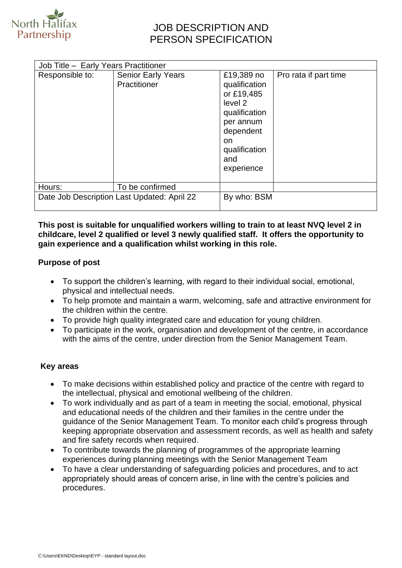

## JOB DESCRIPTION AND PERSON SPECIFICATION

| Responsible to:                             | <b>Senior Early Years</b> | £19,389 no                                                                                                                     | Pro rata if part time |
|---------------------------------------------|---------------------------|--------------------------------------------------------------------------------------------------------------------------------|-----------------------|
|                                             | Practitioner              | qualification<br>or £19,485<br>level 2<br>qualification<br>per annum<br>dependent<br>on.<br>qualification<br>and<br>experience |                       |
| Hours:                                      | To be confirmed           |                                                                                                                                |                       |
| Date Job Description Last Updated: April 22 |                           | By who: BSM                                                                                                                    |                       |

#### **This post is suitable for unqualified workers willing to train to at least NVQ level 2 in childcare, level 2 qualified or level 3 newly qualified staff. It offers the opportunity to gain experience and a qualification whilst working in this role.**

#### **Purpose of post**

- To support the children's learning, with regard to their individual social, emotional, physical and intellectual needs.
- To help promote and maintain a warm, welcoming, safe and attractive environment for the children within the centre.
- To provide high quality integrated care and education for young children.
- To participate in the work, organisation and development of the centre, in accordance with the aims of the centre, under direction from the Senior Management Team.

### **Key areas**

- To make decisions within established policy and practice of the centre with regard to the intellectual, physical and emotional wellbeing of the children.
- To work individually and as part of a team in meeting the social, emotional, physical and educational needs of the children and their families in the centre under the guidance of the Senior Management Team. To monitor each child's progress through keeping appropriate observation and assessment records, as well as health and safety and fire safety records when required.
- To contribute towards the planning of programmes of the appropriate learning experiences during planning meetings with the Senior Management Team
- To have a clear understanding of safeguarding policies and procedures, and to act appropriately should areas of concern arise, in line with the centre's policies and procedures.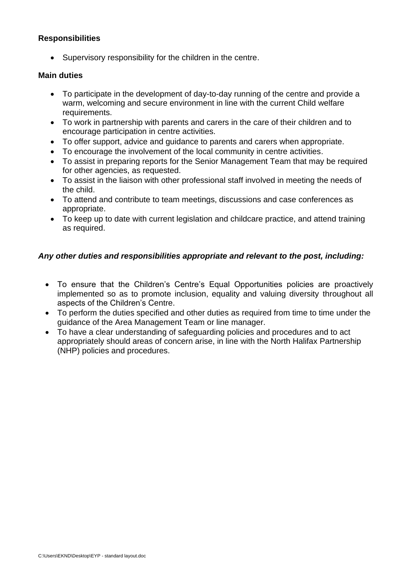### **Responsibilities**

• Supervisory responsibility for the children in the centre.

#### **Main duties**

- To participate in the development of day-to-day running of the centre and provide a warm, welcoming and secure environment in line with the current Child welfare requirements.
- To work in partnership with parents and carers in the care of their children and to encourage participation in centre activities.
- To offer support, advice and guidance to parents and carers when appropriate.
- To encourage the involvement of the local community in centre activities.
- To assist in preparing reports for the Senior Management Team that may be required for other agencies, as requested.
- To assist in the liaison with other professional staff involved in meeting the needs of the child.
- To attend and contribute to team meetings, discussions and case conferences as appropriate.
- To keep up to date with current legislation and childcare practice, and attend training as required.

### *Any other duties and responsibilities appropriate and relevant to the post, including:*

- To ensure that the Children's Centre's Equal Opportunities policies are proactively implemented so as to promote inclusion, equality and valuing diversity throughout all aspects of the Children's Centre.
- To perform the duties specified and other duties as required from time to time under the guidance of the Area Management Team or line manager.
- To have a clear understanding of safeguarding policies and procedures and to act appropriately should areas of concern arise, in line with the North Halifax Partnership (NHP) policies and procedures.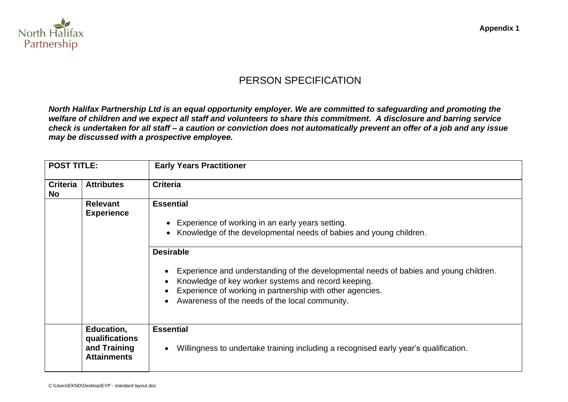

# PERSON SPECIFICATION

*North Halifax Partnership Ltd is an equal opportunity employer. We are committed to safeguarding and promoting the welfare of children and we expect all staff and volunteers to share this commitment. A disclosure and barring service check is undertaken for all staff – a caution or conviction does not automatically prevent an offer of a job and any issue may be discussed with a prospective employee.*

| <b>POST TITLE:</b>           |                                                                    | <b>Early Years Practitioner</b>                                                                                                                                                                                                                                                                                                                                                                                                              |  |
|------------------------------|--------------------------------------------------------------------|----------------------------------------------------------------------------------------------------------------------------------------------------------------------------------------------------------------------------------------------------------------------------------------------------------------------------------------------------------------------------------------------------------------------------------------------|--|
| <b>Criteria</b><br><b>No</b> | <b>Attributes</b>                                                  | <b>Criteria</b>                                                                                                                                                                                                                                                                                                                                                                                                                              |  |
|                              | <b>Relevant</b><br><b>Experience</b>                               | <b>Essential</b><br>Experience of working in an early years setting.<br>$\bullet$<br>• Knowledge of the developmental needs of babies and young children.<br><b>Desirable</b><br>Experience and understanding of the developmental needs of babies and young children.<br>Knowledge of key worker systems and record keeping.<br>Experience of working in partnership with other agencies.<br>Awareness of the needs of the local community. |  |
|                              | Education,<br>qualifications<br>and Training<br><b>Attainments</b> | <b>Essential</b><br>Willingness to undertake training including a recognised early year's qualification.                                                                                                                                                                                                                                                                                                                                     |  |